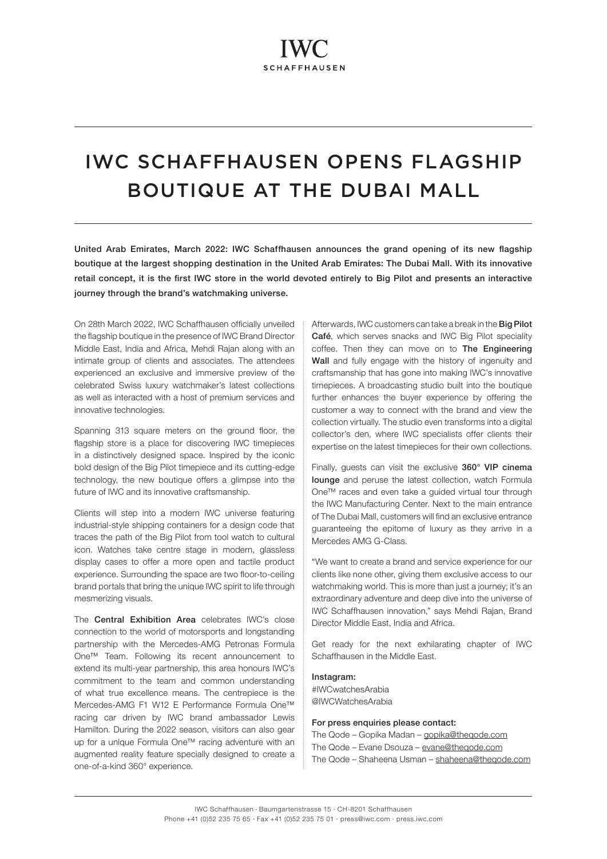# IWC SCHAFFHAUSEN OPENS FLAGSHIP BOUTIQUE AT THE DUBAI MALL

United Arab Emirates, March 2022: IWC Schaffhausen announces the grand opening of its new flagship boutique at the largest shopping destination in the United Arab Emirates: The Dubai Mall. With its innovative retail concept, it is the first IWC store in the world devoted entirely to Big Pilot and presents an interactive journey through the brand's watchmaking universe.

On 28th March 2022, IWC Schaffhausen officially unveiled the flagship boutique in the presence of IWC Brand Director Middle East, India and Africa, Mehdi Rajan along with an intimate group of clients and associates. The attendees experienced an exclusive and immersive preview of the celebrated Swiss luxury watchmaker's latest collections as well as interacted with a host of premium services and innovative technologies.

Spanning 313 square meters on the ground floor, the flagship store is a place for discovering IWC timepieces in a distinctively designed space. Inspired by the iconic bold design of the Big Pilot timepiece and its cutting-edge technology, the new boutique offers a glimpse into the future of IWC and its innovative craftsmanship.

Clients will step into a modern IWC universe featuring industrial-style shipping containers for a design code that traces the path of the Big Pilot from tool watch to cultural icon. Watches take centre stage in modern, glassless display cases to offer a more open and tactile product experience. Surrounding the space are two floor-to-ceiling brand portals that bring the unique IWC spirit to life through mesmerizing visuals.

The Central Exhibition Area celebrates IWC's close connection to the world of motorsports and longstanding partnership with the Mercedes-AMG Petronas Formula One™ Team. Following its recent announcement to extend its multi-year partnership, this area honours IWC's commitment to the team and common understanding of what true excellence means. The centrepiece is the Mercedes-AMG F1 W12 E Performance Formula One™ racing car driven by IWC brand ambassador Lewis Hamilton. During the 2022 season, visitors can also gear up for a unique Formula One™ racing adventure with an augmented reality feature specially designed to create a one-of-a-kind 360° experience.

Afterwards, IWC customers can take a break in the Big Pilot Café, which serves snacks and IWC Big Pilot speciality coffee. Then they can move on to The Engineering Wall and fully engage with the history of ingenuity and craftsmanship that has gone into making IWC's innovative timepieces. A broadcasting studio built into the boutique further enhances the buyer experience by offering the customer a way to connect with the brand and view the collection virtually. The studio even transforms into a digital collector's den, where IWC specialists offer clients their expertise on the latest timepieces for their own collections.

Finally, guests can visit the exclusive 360° VIP cinema lounge and peruse the latest collection, watch Formula One™ races and even take a guided virtual tour through the IWC Manufacturing Center. Next to the main entrance of The Dubai Mall, customers will find an exclusive entrance guaranteeing the epitome of luxury as they arrive in a Mercedes AMG G-Class.

"We want to create a brand and service experience for our clients like none other, giving them exclusive access to our watchmaking world. This is more than just a journey; it's an extraordinary adventure and deep dive into the universe of IWC Schaffhausen innovation," says Mehdi Rajan, Brand Director Middle East, India and Africa.

Get ready for the next exhilarating chapter of IWC Schaffhausen in the Middle East.

## Instagram:

#IWCwatchesArabia @IWCWatchesArabia

#### For press enquiries please contact:

The Qode – Gopika Madan – [gopika@theqode.com](mailto:gopika%40theqode.com?subject=) The Qode – Evane Dsouza – [evane@theqode.com](mailto:evane%40theqode.com?subject=) The Qode – Shaheena Usman – [shaheena@theqode.com](mailto:shaheena%40theqode.com?subject=)